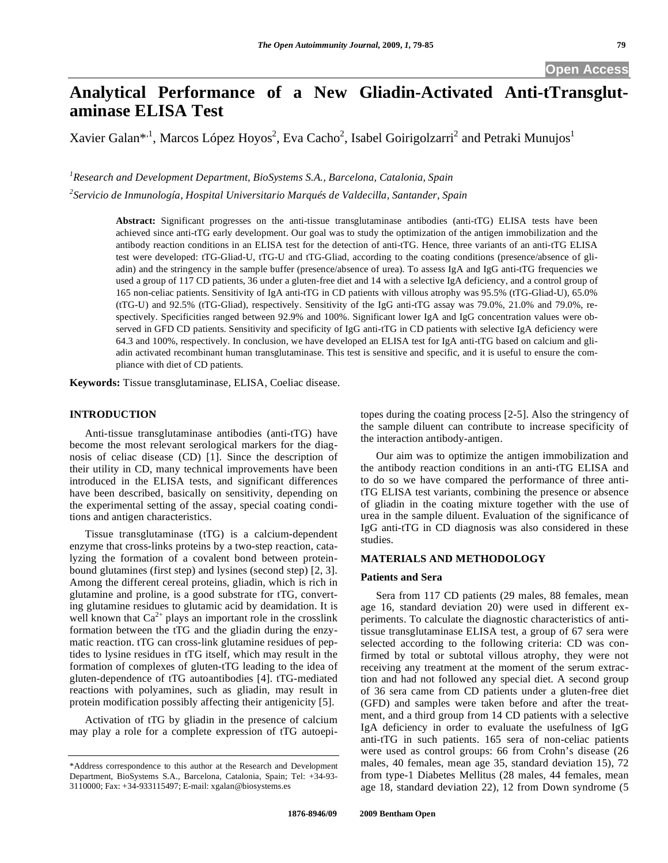# **Analytical Performance of a New Gliadin-Activated Anti-tTransglutaminase ELISA Test**

Xavier Galan $^{*1}$ , Marcos López Hoyos $^2$ , Eva Cacho $^2$ , Isabel Goirigolzarri $^2$  and Petraki Munujos $^1$ 

*1 Research and Development Department, BioSystems S.A., Barcelona, Catalonia, Spain* 

*2 Servicio de Inmunología, Hospital Universitario Marqués de Valdecilla, Santander, Spain* 

**Abstract:** Significant progresses on the anti-tissue transglutaminase antibodies (anti-tTG) ELISA tests have been achieved since anti-tTG early development. Our goal was to study the optimization of the antigen immobilization and the antibody reaction conditions in an ELISA test for the detection of anti-tTG. Hence, three variants of an anti-tTG ELISA test were developed: tTG-Gliad-U, tTG-U and tTG-Gliad, according to the coating conditions (presence/absence of gliadin) and the stringency in the sample buffer (presence/absence of urea). To assess IgA and IgG anti-tTG frequencies we used a group of 117 CD patients, 36 under a gluten-free diet and 14 with a selective IgA deficiency, and a control group of 165 non-celiac patients. Sensitivity of IgA anti-tTG in CD patients with villous atrophy was 95.5% (tTG-Gliad-U), 65.0% (tTG-U) and 92.5% (tTG-Gliad), respectively. Sensitivity of the IgG anti-tTG assay was 79.0%, 21.0% and 79.0%, respectively. Specificities ranged between 92.9% and 100%. Significant lower IgA and IgG concentration values were observed in GFD CD patients. Sensitivity and specificity of IgG anti-tTG in CD patients with selective IgA deficiency were 64.3 and 100%, respectively. In conclusion, we have developed an ELISA test for IgA anti-tTG based on calcium and gliadin activated recombinant human transglutaminase. This test is sensitive and specific, and it is useful to ensure the compliance with diet of CD patients.

**Keywords:** Tissue transglutaminase, ELISA, Coeliac disease.

## **INTRODUCTION**

 Anti-tissue transglutaminase antibodies (anti-tTG) have become the most relevant serological markers for the diagnosis of celiac disease (CD) [1]. Since the description of their utility in CD, many technical improvements have been introduced in the ELISA tests, and significant differences have been described, basically on sensitivity, depending on the experimental setting of the assay, special coating conditions and antigen characteristics.

 Tissue transglutaminase (tTG) is a calcium-dependent enzyme that cross-links proteins by a two-step reaction, catalyzing the formation of a covalent bond between proteinbound glutamines (first step) and lysines (second step) [2, 3]. Among the different cereal proteins, gliadin, which is rich in glutamine and proline, is a good substrate for tTG, converting glutamine residues to glutamic acid by deamidation. It is well known that  $Ca^{2+}$  plays an important role in the crosslink formation between the tTG and the gliadin during the enzymatic reaction. tTG can cross-link glutamine residues of peptides to lysine residues in tTG itself, which may result in the formation of complexes of gluten-tTG leading to the idea of gluten-dependence of tTG autoantibodies [4]. tTG-mediated reactions with polyamines, such as gliadin, may result in protein modification possibly affecting their antigenicity [5].

 Activation of tTG by gliadin in the presence of calcium may play a role for a complete expression of tTG autoepitopes during the coating process [2-5]. Also the stringency of the sample diluent can contribute to increase specificity of the interaction antibody-antigen.

 Our aim was to optimize the antigen immobilization and the antibody reaction conditions in an anti-tTG ELISA and to do so we have compared the performance of three antitTG ELISA test variants, combining the presence or absence of gliadin in the coating mixture together with the use of urea in the sample diluent. Evaluation of the significance of IgG anti-tTG in CD diagnosis was also considered in these studies.

## **MATERIALS AND METHODOLOGY**

## **Patients and Sera**

 Sera from 117 CD patients (29 males, 88 females, mean age 16, standard deviation 20) were used in different experiments. To calculate the diagnostic characteristics of antitissue transglutaminase ELISA test, a group of 67 sera were selected according to the following criteria: CD was confirmed by total or subtotal villous atrophy, they were not receiving any treatment at the moment of the serum extraction and had not followed any special diet. A second group of 36 sera came from CD patients under a gluten-free diet (GFD) and samples were taken before and after the treatment, and a third group from 14 CD patients with a selective IgA deficiency in order to evaluate the usefulness of IgG anti-tTG in such patients. 165 sera of non-celiac patients were used as control groups: 66 from Crohn's disease (26 males, 40 females, mean age 35, standard deviation 15), 72 from type-1 Diabetes Mellitus (28 males, 44 females, mean age 18, standard deviation 22), 12 from Down syndrome (5

<sup>\*</sup>Address correspondence to this author at the Research and Development Department, BioSystems S.A., Barcelona, Catalonia, Spain; Tel: +34-93- 3110000; Fax: +34-933115497; E-mail: xgalan@biosystems.es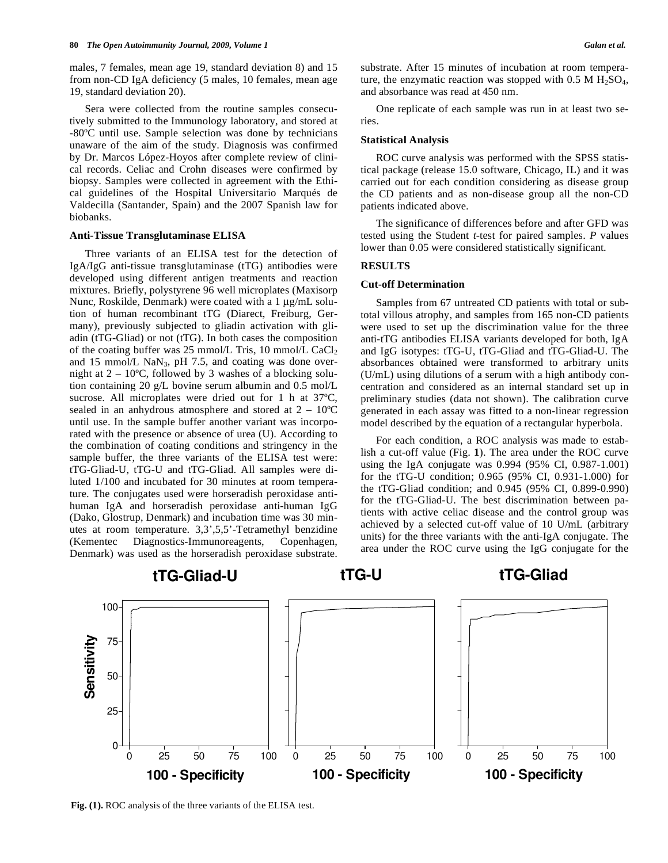males, 7 females, mean age 19, standard deviation 8) and 15 from non-CD IgA deficiency (5 males, 10 females, mean age 19, standard deviation 20).

 Sera were collected from the routine samples consecutively submitted to the Immunology laboratory, and stored at -80ºC until use. Sample selection was done by technicians unaware of the aim of the study. Diagnosis was confirmed by Dr. Marcos López-Hoyos after complete review of clinical records. Celiac and Crohn diseases were confirmed by biopsy. Samples were collected in agreement with the Ethical guidelines of the Hospital Universitario Marqués de Valdecilla (Santander, Spain) and the 2007 Spanish law for biobanks.

## **Anti-Tissue Transglutaminase ELISA**

 Three variants of an ELISA test for the detection of IgA/IgG anti-tissue transglutaminase (tTG) antibodies were developed using different antigen treatments and reaction mixtures. Briefly, polystyrene 96 well microplates (Maxisorp Nunc, Roskilde, Denmark) were coated with a 1 μg/mL solution of human recombinant tTG (Diarect, Freiburg, Germany), previously subjected to gliadin activation with gliadin (tTG-Gliad) or not (tTG). In both cases the composition of the coating buffer was 25 mmol/L Tris, 10 mmol/L  $CaCl<sub>2</sub>$ and 15 mmol/L NaN<sub>3</sub>, pH 7.5, and coating was done overnight at  $2 - 10^{\circ}$ C, followed by 3 washes of a blocking solution containing 20 g/L bovine serum albumin and 0.5 mol/L sucrose. All microplates were dried out for 1 h at 37ºC, sealed in an anhydrous atmosphere and stored at  $2 - 10^{\circ}$ C until use. In the sample buffer another variant was incorporated with the presence or absence of urea (U). According to the combination of coating conditions and stringency in the sample buffer, the three variants of the ELISA test were: tTG-Gliad-U, tTG-U and tTG-Gliad. All samples were diluted 1/100 and incubated for 30 minutes at room temperature. The conjugates used were horseradish peroxidase antihuman IgA and horseradish peroxidase anti-human IgG (Dako, Glostrup, Denmark) and incubation time was 30 minutes at room temperature. 3,3',5,5'-Tetramethyl benzidine (Kementec Diagnostics-Immunoreagents, Copenhagen, Denmark) was used as the horseradish peroxidase substrate.

substrate. After 15 minutes of incubation at room temperature, the enzymatic reaction was stopped with  $0.5$  M H<sub>2</sub>SO<sub>4</sub>, and absorbance was read at 450 nm.

 One replicate of each sample was run in at least two series.

#### **Statistical Analysis**

 ROC curve analysis was performed with the SPSS statistical package (release 15.0 software, Chicago, IL) and it was carried out for each condition considering as disease group the CD patients and as non-disease group all the non-CD patients indicated above.

 The significance of differences before and after GFD was tested using the Student *t*-test for paired samples. *P* values lower than 0.05 were considered statistically significant.

## **RESULTS**

#### **Cut-off Determination**

 Samples from 67 untreated CD patients with total or subtotal villous atrophy, and samples from 165 non-CD patients were used to set up the discrimination value for the three anti-tTG antibodies ELISA variants developed for both, IgA and IgG isotypes: tTG-U, tTG-Gliad and tTG-Gliad-U. The absorbances obtained were transformed to arbitrary units (U/mL) using dilutions of a serum with a high antibody concentration and considered as an internal standard set up in preliminary studies (data not shown). The calibration curve generated in each assay was fitted to a non-linear regression model described by the equation of a rectangular hyperbola.

 For each condition, a ROC analysis was made to establish a cut-off value (Fig. **1**). The area under the ROC curve using the IgA conjugate was 0.994 (95% CI, 0.987-1.001) for the tTG-U condition; 0.965 (95% CI, 0.931-1.000) for the tTG-Gliad condition; and 0.945 (95% CI, 0.899-0.990) for the tTG-Gliad-U. The best discrimination between patients with active celiac disease and the control group was achieved by a selected cut-off value of 10 U/mL (arbitrary units) for the three variants with the anti-IgA conjugate. The area under the ROC curve using the IgG conjugate for the



**Fig. (1).** ROC analysis of the three variants of the ELISA test.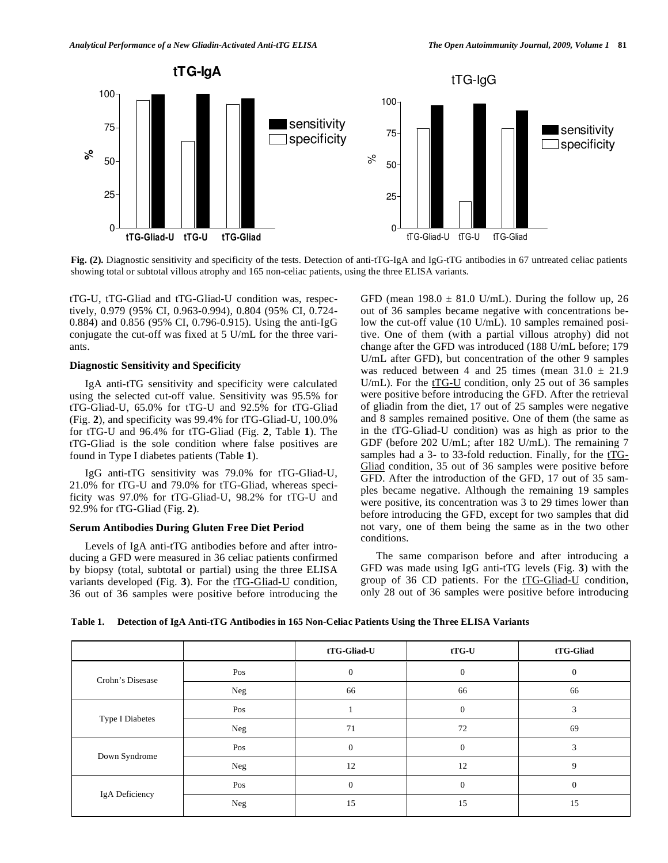

**Fig. (2).** Diagnostic sensitivity and specificity of the tests. Detection of anti-tTG-IgA and IgG-tTG antibodies in 67 untreated celiac patients showing total or subtotal villous atrophy and 165 non-celiac patients, using the three ELISA variants.

tTG-U, tTG-Gliad and tTG-Gliad-U condition was, respectively, 0.979 (95% CI, 0.963-0.994), 0.804 (95% CI, 0.724- 0.884) and 0.856 (95% CI, 0.796-0.915). Using the anti-IgG conjugate the cut-off was fixed at 5 U/mL for the three variants.

## **Diagnostic Sensitivity and Specificity**

 IgA anti-tTG sensitivity and specificity were calculated using the selected cut-off value. Sensitivity was 95.5% for tTG-Gliad-U, 65.0% for tTG-U and 92.5% for tTG-Gliad (Fig. **2**), and specificity was 99.4% for tTG-Gliad-U, 100.0% for tTG-U and 96.4% for tTG-Gliad (Fig. **2**, Table **1**). The tTG-Gliad is the sole condition where false positives are found in Type I diabetes patients (Table **1**).

 IgG anti-tTG sensitivity was 79.0% for tTG-Gliad-U, 21.0% for tTG-U and 79.0% for tTG-Gliad, whereas specificity was 97.0% for tTG-Gliad-U, 98.2% for tTG-U and 92.9% for tTG-Gliad (Fig. **2**).

## **Serum Antibodies During Gluten Free Diet Period**

 Levels of IgA anti-tTG antibodies before and after introducing a GFD were measured in 36 celiac patients confirmed by biopsy (total, subtotal or partial) using the three ELISA variants developed (Fig. 3). For the t<sub>TG</sub>-Gliad-U condition, 36 out of 36 samples were positive before introducing the GFD (mean  $198.0 \pm 81.0$  U/mL). During the follow up, 26 out of 36 samples became negative with concentrations below the cut-off value (10 U/mL). 10 samples remained positive. One of them (with a partial villous atrophy) did not change after the GFD was introduced (188 U/mL before; 179 U/mL after GFD), but concentration of the other 9 samples was reduced between 4 and 25 times (mean  $31.0 \pm 21.9$ U/mL). For the  $tTG-U$  condition, only 25 out of 36 samples were positive before introducing the GFD. After the retrieval of gliadin from the diet, 17 out of 25 samples were negative and 8 samples remained positive. One of them (the same as in the tTG-Gliad-U condition) was as high as prior to the GDF (before 202 U/mL; after 182 U/mL). The remaining 7 samples had a 3- to 33-fold reduction. Finally, for the  $tTG-$ Gliad condition, 35 out of 36 samples were positive before GFD. After the introduction of the GFD, 17 out of 35 samples became negative. Although the remaining 19 samples were positive, its concentration was 3 to 29 times lower than before introducing the GFD, except for two samples that did not vary, one of them being the same as in the two other conditions.

 The same comparison before and after introducing a GFD was made using IgG anti-tTG levels (Fig. **3**) with the group of 36 CD patients. For the tTG-Gliad-U condition, only 28 out of 36 samples were positive before introducing

**Table 1. Detection of IgA Anti-tTG Antibodies in 165 Non-Celiac Patients Using the Three ELISA Variants** 

|                  |            | tTG-Gliad-U | $tTG-U$      | tTG-Gliad    |
|------------------|------------|-------------|--------------|--------------|
| Crohn's Disesase | Pos        | $\Omega$    | $\theta$     | $\Omega$     |
|                  | <b>Neg</b> | 66          | 66           | 66           |
| Type I Diabetes  | Pos        |             | $\theta$     | 3            |
|                  | Neg        | 71          | 72           | 69           |
| Down Syndrome    | Pos        | $\theta$    | $\mathbf{0}$ | 3            |
|                  | Neg        | 12          | 12           | 9            |
| IgA Deficiency   | Pos        | $\theta$    | $\theta$     | $\mathbf{0}$ |
|                  | Neg        | 15          | 15           | 15           |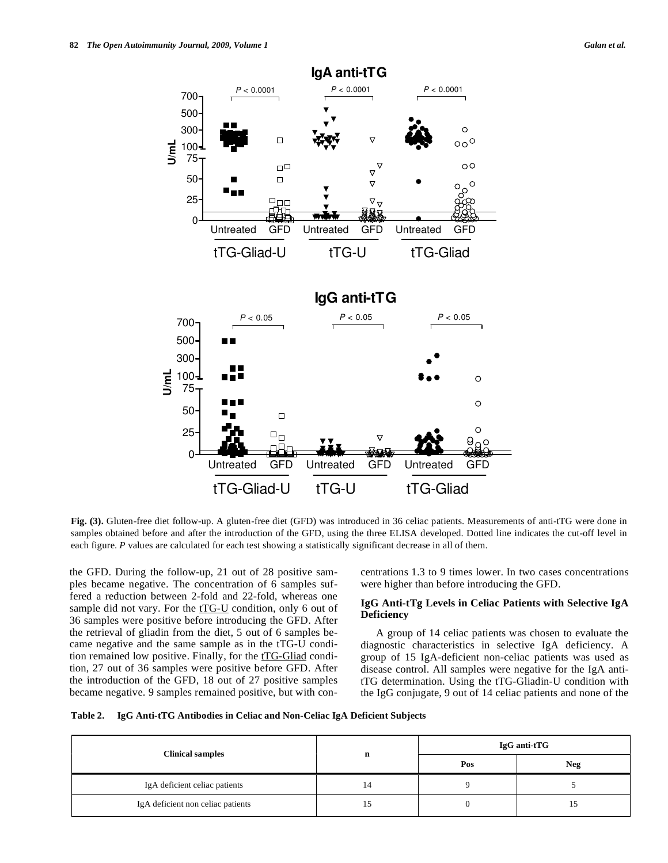

**Fig. (3).** Gluten-free diet follow-up. A gluten-free diet (GFD) was introduced in 36 celiac patients. Measurements of anti-tTG were done in samples obtained before and after the introduction of the GFD, using the three ELISA developed. Dotted line indicates the cut-off level in each figure. *P* values are calculated for each test showing a statistically significant decrease in all of them.

the GFD. During the follow-up, 21 out of 28 positive samples became negative. The concentration of 6 samples suffered a reduction between 2-fold and 22-fold, whereas one sample did not vary. For the  $tTG-U$  condition, only 6 out of 36 samples were positive before introducing the GFD. After the retrieval of gliadin from the diet, 5 out of 6 samples became negative and the same sample as in the tTG-U condition remained low positive. Finally, for the  $tTG-Gliad$  condition, 27 out of 36 samples were positive before GFD. After the introduction of the GFD, 18 out of 27 positive samples became negative. 9 samples remained positive, but with concentrations 1.3 to 9 times lower. In two cases concentrations were higher than before introducing the GFD.

## **IgG Anti-tTg Levels in Celiac Patients with Selective IgA Deficiency**

 A group of 14 celiac patients was chosen to evaluate the diagnostic characteristics in selective IgA deficiency. A group of 15 IgA-deficient non-celiac patients was used as disease control. All samples were negative for the IgA antitTG determination. Using the tTG-Gliadin-U condition with the IgG conjugate, 9 out of 14 celiac patients and none of the

| Table 2. | IgG Anti-tTG Antibodies in Celiac and Non-Celiac IgA Deficient Subjects |  |
|----------|-------------------------------------------------------------------------|--|
|          |                                                                         |  |

| <b>Clinical samples</b>           |    | IgG anti-tTG |     |  |
|-----------------------------------|----|--------------|-----|--|
|                                   | n  | Pos          | Neg |  |
| IgA deficient celiac patients     | 14 |              |     |  |
| IgA deficient non celiac patients |    |              |     |  |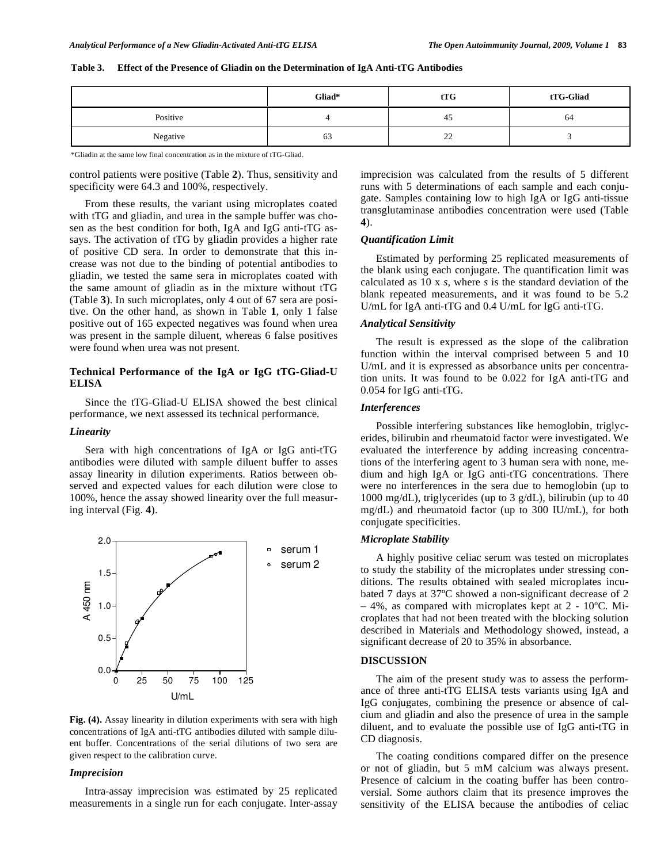|          | Gliad* | tTG      | tTG-Gliad |  |
|----------|--------|----------|-----------|--|
| Positive |        | 45       | 64        |  |
| Negative | 63     | າາ<br>∠∠ |           |  |

## **Table 3. Effect of the Presence of Gliadin on the Determination of IgA Anti-tTG Antibodies**

\*Gliadin at the same low final concentration as in the mixture of tTG-Gliad.

control patients were positive (Table **2**). Thus, sensitivity and specificity were 64.3 and 100%, respectively.

 From these results, the variant using microplates coated with tTG and gliadin, and urea in the sample buffer was chosen as the best condition for both, IgA and IgG anti-tTG assays. The activation of tTG by gliadin provides a higher rate of positive CD sera. In order to demonstrate that this increase was not due to the binding of potential antibodies to gliadin, we tested the same sera in microplates coated with the same amount of gliadin as in the mixture without tTG (Table **3**). In such microplates, only 4 out of 67 sera are positive. On the other hand, as shown in Table **1**, only 1 false positive out of 165 expected negatives was found when urea was present in the sample diluent, whereas 6 false positives were found when urea was not present.

# **Technical Performance of the IgA or IgG tTG-Gliad-U ELISA**

 Since the tTG-Gliad-U ELISA showed the best clinical performance, we next assessed its technical performance.

## *Linearity*

 Sera with high concentrations of IgA or IgG anti-tTG antibodies were diluted with sample diluent buffer to asses assay linearity in dilution experiments. Ratios between observed and expected values for each dilution were close to 100%, hence the assay showed linearity over the full measuring interval (Fig. **4**).



**Fig. (4).** Assay linearity in dilution experiments with sera with high concentrations of IgA anti-tTG antibodies diluted with sample diluent buffer. Concentrations of the serial dilutions of two sera are given respect to the calibration curve.

## *Imprecision*

 Intra-assay imprecision was estimated by 25 replicated measurements in a single run for each conjugate. Inter-assay imprecision was calculated from the results of 5 different runs with 5 determinations of each sample and each conjugate. Samples containing low to high IgA or IgG anti-tissue transglutaminase antibodies concentration were used (Table **4**).

## *Quantification Limit*

 Estimated by performing 25 replicated measurements of the blank using each conjugate. The quantification limit was calculated as 10 x *s*, where *s* is the standard deviation of the blank repeated measurements, and it was found to be 5.2 U/mL for IgA anti-tTG and 0.4 U/mL for IgG anti-tTG.

## *Analytical Sensitivity*

 The result is expressed as the slope of the calibration function within the interval comprised between 5 and 10 U/mL and it is expressed as absorbance units per concentration units. It was found to be 0.022 for IgA anti-tTG and 0.054 for IgG anti-tTG.

## *Interferences*

 Possible interfering substances like hemoglobin, triglycerides, bilirubin and rheumatoid factor were investigated. We evaluated the interference by adding increasing concentrations of the interfering agent to 3 human sera with none, medium and high IgA or IgG anti-tTG concentrations. There were no interferences in the sera due to hemoglobin (up to 1000 mg/dL), triglycerides (up to 3 g/dL), bilirubin (up to 40 mg/dL) and rheumatoid factor (up to 300 IU/mL), for both conjugate specificities.

## *Microplate Stability*

 A highly positive celiac serum was tested on microplates to study the stability of the microplates under stressing conditions. The results obtained with sealed microplates incubated 7 days at 37ºC showed a non-significant decrease of 2 – 4%, as compared with microplates kept at 2 - 10ºC. Microplates that had not been treated with the blocking solution described in Materials and Methodology showed, instead, a significant decrease of 20 to 35% in absorbance.

#### **DISCUSSION**

 The aim of the present study was to assess the performance of three anti-tTG ELISA tests variants using IgA and IgG conjugates, combining the presence or absence of calcium and gliadin and also the presence of urea in the sample diluent, and to evaluate the possible use of IgG anti-tTG in CD diagnosis.

 The coating conditions compared differ on the presence or not of gliadin, but 5 mM calcium was always present. Presence of calcium in the coating buffer has been controversial. Some authors claim that its presence improves the sensitivity of the ELISA because the antibodies of celiac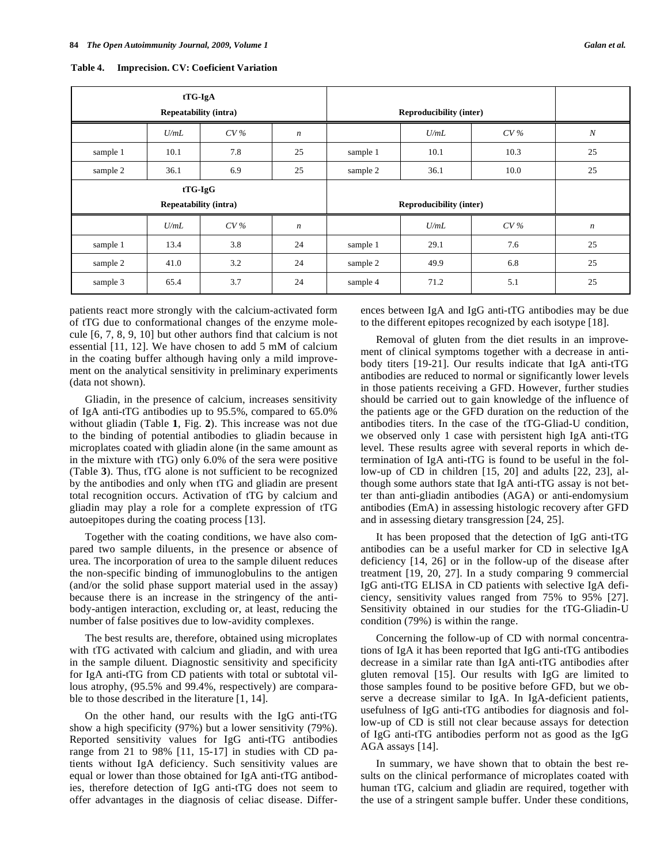| tTG-IgA<br><b>Repeatability (intra)</b> |           |     |                                |          | <b>Reproducibility (inter)</b> |      |                  |
|-----------------------------------------|-----------|-----|--------------------------------|----------|--------------------------------|------|------------------|
|                                         | U/mL      | CV% | $\boldsymbol{n}$               |          | U/mL                           | CV%  | $\boldsymbol{N}$ |
| sample 1                                | 10.1      | 7.8 | 25                             | sample 1 | 10.1                           | 10.3 | 25               |
| sample 2                                | 36.1      | 6.9 | 25                             | sample 2 | 36.1                           | 10.0 | 25               |
|                                         | $tTG-IgG$ |     |                                |          |                                |      |                  |
| <b>Repeatability (intra)</b>            |           |     | <b>Reproducibility (inter)</b> |          |                                |      |                  |
|                                         | U/mL      | CV% | $\boldsymbol{n}$               |          | U/mL                           | CV%  | $\boldsymbol{n}$ |
| sample 1                                | 13.4      | 3.8 | 24                             | sample 1 | 29.1                           | 7.6  | 25               |
| sample 2                                | 41.0      | 3.2 | 24                             | sample 2 | 49.9                           | 6.8  | 25               |
| sample 3                                | 65.4      | 3.7 | 24                             | sample 4 | 71.2                           | 5.1  | 25               |

**Table 4. Imprecision. CV: Coeficient Variation** 

patients react more strongly with the calcium-activated form of tTG due to conformational changes of the enzyme molecule [6, 7, 8, 9, 10] but other authors find that calcium is not essential [11, 12]. We have chosen to add 5 mM of calcium in the coating buffer although having only a mild improvement on the analytical sensitivity in preliminary experiments (data not shown).

 Gliadin, in the presence of calcium, increases sensitivity of IgA anti-tTG antibodies up to 95.5%, compared to 65.0% without gliadin (Table **1**, Fig. **2**). This increase was not due to the binding of potential antibodies to gliadin because in microplates coated with gliadin alone (in the same amount as in the mixture with tTG) only 6.0% of the sera were positive (Table **3**). Thus, tTG alone is not sufficient to be recognized by the antibodies and only when tTG and gliadin are present total recognition occurs. Activation of tTG by calcium and gliadin may play a role for a complete expression of tTG autoepitopes during the coating process [13].

 Together with the coating conditions, we have also compared two sample diluents, in the presence or absence of urea. The incorporation of urea to the sample diluent reduces the non-specific binding of immunoglobulins to the antigen (and/or the solid phase support material used in the assay) because there is an increase in the stringency of the antibody-antigen interaction, excluding or, at least, reducing the number of false positives due to low-avidity complexes.

 The best results are, therefore, obtained using microplates with tTG activated with calcium and gliadin, and with urea in the sample diluent. Diagnostic sensitivity and specificity for IgA anti-tTG from CD patients with total or subtotal villous atrophy, (95.5% and 99.4%, respectively) are comparable to those described in the literature [1, 14].

 On the other hand, our results with the IgG anti-tTG show a high specificity (97%) but a lower sensitivity (79%). Reported sensitivity values for IgG anti-tTG antibodies range from 21 to 98% [11, 15-17] in studies with CD patients without IgA deficiency. Such sensitivity values are equal or lower than those obtained for IgA anti-tTG antibodies, therefore detection of IgG anti-tTG does not seem to offer advantages in the diagnosis of celiac disease. Differences between IgA and IgG anti-tTG antibodies may be due to the different epitopes recognized by each isotype [18].

 Removal of gluten from the diet results in an improvement of clinical symptoms together with a decrease in antibody titers [19-21]. Our results indicate that IgA anti-tTG antibodies are reduced to normal or significantly lower levels in those patients receiving a GFD. However, further studies should be carried out to gain knowledge of the influence of the patients age or the GFD duration on the reduction of the antibodies titers. In the case of the tTG-Gliad-U condition, we observed only 1 case with persistent high IgA anti-tTG level. These results agree with several reports in which determination of IgA anti-tTG is found to be useful in the follow-up of CD in children [15, 20] and adults [22, 23], although some authors state that IgA anti-tTG assay is not better than anti-gliadin antibodies (AGA) or anti-endomysium antibodies (EmA) in assessing histologic recovery after GFD and in assessing dietary transgression [24, 25].

 It has been proposed that the detection of IgG anti-tTG antibodies can be a useful marker for CD in selective IgA deficiency [14, 26] or in the follow-up of the disease after treatment [19, 20, 27]. In a study comparing 9 commercial IgG anti-tTG ELISA in CD patients with selective IgA deficiency, sensitivity values ranged from 75% to 95% [27]. Sensitivity obtained in our studies for the tTG-Gliadin-U condition (79%) is within the range.

 Concerning the follow-up of CD with normal concentrations of IgA it has been reported that IgG anti-tTG antibodies decrease in a similar rate than IgA anti-tTG antibodies after gluten removal [15]. Our results with IgG are limited to those samples found to be positive before GFD, but we observe a decrease similar to IgA. In IgA-deficient patients, usefulness of IgG anti-tTG antibodies for diagnosis and follow-up of CD is still not clear because assays for detection of IgG anti-tTG antibodies perform not as good as the IgG AGA assays [14].

 In summary, we have shown that to obtain the best results on the clinical performance of microplates coated with human tTG, calcium and gliadin are required, together with the use of a stringent sample buffer. Under these conditions,